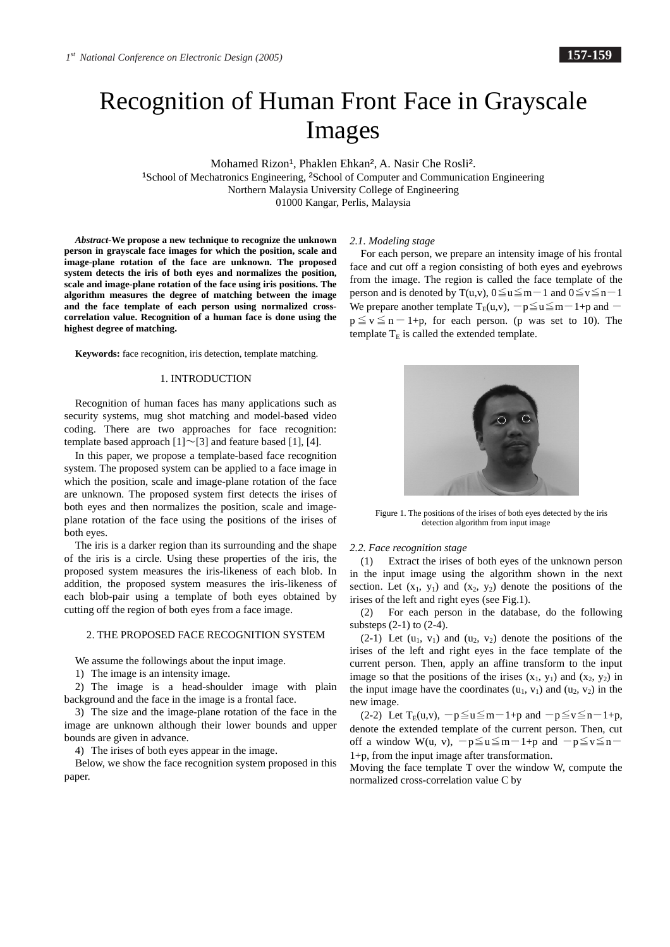# Recognition of Human Front Face in Grayscale Images

Mohamed Rizon<sup>1</sup>, Phaklen Ehkan<sup>2</sup>, A. Nasir Che Rosli<sup>2</sup>.

<sup>1</sup>School of Mechatronics Engineering, <sup>2</sup>School of Computer and Communication Engineering Northern Malaysia University College of Engineering 01000 Kangar, Perlis, Malaysia

*Abstract-***We propose a new technique to recognize the unknown person in grayscale face images for which the position, scale and image-plane rotation of the face are unknown. The proposed system detects the iris of both eyes and normalizes the position, scale and image-plane rotation of the face using iris positions. The algorithm measures the degree of matching between the image and the face template of each person using normalized crosscorrelation value. Recognition of a human face is done using the highest degree of matching.** 

**Keywords:** face recognition, iris detection, template matching.

# 1. INTRODUCTION

Recognition of human faces has many applications such as security systems, mug shot matching and model-based video coding. There are two approaches for face recognition: template based approach  $[1] \sim [3]$  and feature based [1], [4].

In this paper, we propose a template-based face recognition system. The proposed system can be applied to a face image in which the position, scale and image-plane rotation of the face are unknown. The proposed system first detects the irises of both eyes and then normalizes the position, scale and imageplane rotation of the face using the positions of the irises of both eyes.

The iris is a darker region than its surrounding and the shape of the iris is a circle. Using these properties of the iris, the proposed system measures the iris-likeness of each blob. In addition, the proposed system measures the iris-likeness of each blob-pair using a template of both eyes obtained by cutting off the region of both eyes from a face image.

# 2. THE PROPOSED FACE RECOGNITION SYSTEM

We assume the followings about the input image.

1) The image is an intensity image.

2) The image is a head-shoulder image with plain background and the face in the image is a frontal face.

3) The size and the image-plane rotation of the face in the image are unknown although their lower bounds and upper bounds are given in advance.

4) The irises of both eyes appear in the image.

Below, we show the face recognition system proposed in this paper.

#### *2.1. Modeling stage*

For each person, we prepare an intensity image of his frontal face and cut off a region consisting of both eyes and eyebrows from the image. The region is called the face template of the person and is denoted by T(u,v),  $0 \le u \le m-1$  and  $0 \le v \le n-1$ We prepare another template  $T_E(u,v)$ ,  $-p \le u \le m-1+p$  and  $$  $p \le v \le n-1+p$ , for each person. (p was set to 10). The template  $T_E$  is called the extended template.



Figure 1. The positions of the irises of both eyes detected by the iris detection algorithm from input image

#### *2.2. Face recognition stage*

(1) Extract the irises of both eyes of the unknown person in the input image using the algorithm shown in the next section. Let  $(x_1, y_1)$  and  $(x_2, y_2)$  denote the positions of the irises of the left and right eyes (see Fig.1).

(2) For each person in the database, do the following substeps (2-1) to (2-4).

 $(2-1)$  Let  $(u_1, v_1)$  and  $(u_2, v_2)$  denote the positions of the irises of the left and right eyes in the face template of the current person. Then, apply an affine transform to the input image so that the positions of the irises  $(x_1, y_1)$  and  $(x_2, y_2)$  in the input image have the coordinates  $(u_1, v_1)$  and  $(u_2, v_2)$  in the new image.

(2-2) Let  $T_E(u,v)$ ,  $-p \le u \le m-1+p$  and  $-p \le v \le n-1+p$ , denote the extended template of the current person. Then, cut off a window W(u, v),  $-p \le u \le m-1+p$  and  $-p \le v \le n-1$ 1+p, from the input image after transformation.

Moving the face template T over the window W, compute the normalized cross-correlation value C by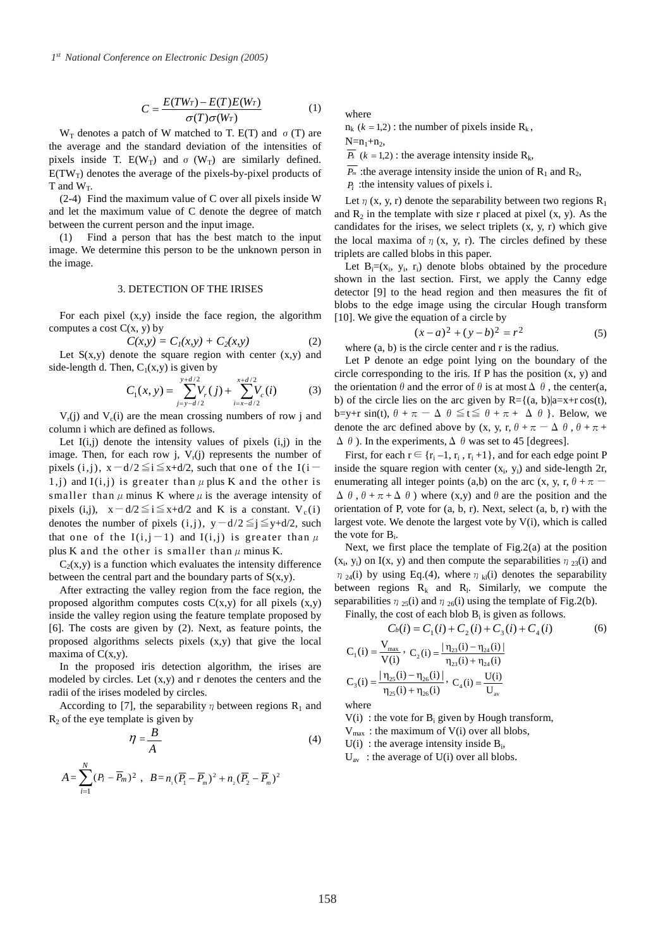$$
C = \frac{E(TW_T) - E(T)E(W_T)}{\sigma(T)\sigma(W_T)}
$$
(1)

 $W_T$  denotes a patch of W matched to T. E(T) and  $\sigma$  (T) are the average and the standard deviation of the intensities of pixels inside T.  $E(W_T)$  and  $\sigma$  (W<sub>T</sub>) are similarly defined.  $E(TW_T)$  denotes the average of the pixels-by-pixel products of T and  $W_T$ .

(2-4) Find the maximum value of C over all pixels inside W and let the maximum value of C denote the degree of match between the current person and the input image.

(1) Find a person that has the best match to the input image. We determine this person to be the unknown person in the image.

## 3. DETECTION OF THE IRISES

For each pixel  $(x,y)$  inside the face region, the algorithm computes a cost  $C(x, y)$  by

$$
C(x,y) = C_1(x,y) + C_2(x,y)
$$
 (2)

Let  $S(x,y)$  denote the square region with center  $(x,y)$  and side-length d. Then,  $C_1(x,y)$  is given by

$$
C_1(x, y) = \sum_{j=y-d/2}^{y+d/2} V_r(j) + \sum_{i=x-d/2}^{x+d/2} V_c(i)
$$
 (3)

 $V_r(i)$  and  $V_c(i)$  are the mean crossing numbers of row j and column i which are defined as follows.

Let  $I(i,j)$  denote the intensity values of pixels  $(i,j)$  in the image. Then, for each row j,  $V_r(j)$  represents the number of pixels (i,j),  $x-d/2 \leq i \leq x+d/2$ , such that one of the I(i-1,j) and  $I(i,j)$  is greater than  $\mu$  plus K and the other is smaller than  $\mu$  minus K where  $\mu$  is the average intensity of pixels (i,j),  $x-d/2 \le i \le x+d/2$  and K is a constant.  $V_c(i)$ denotes the number of pixels (i,j), y-d/2 $\leq j \leq y+d/2$ , such that one of the  $I(i,j-1)$  and  $I(i,j)$  is greater than  $\mu$ plus K and the other is smaller than  $\mu$  minus K.

 $C_2(x,y)$  is a function which evaluates the intensity difference between the central part and the boundary parts of  $S(x,y)$ .

After extracting the valley region from the face region, the proposed algorithm computes costs  $C(x,y)$  for all pixels  $(x,y)$ inside the valley region using the feature template proposed by [6]. The costs are given by (2). Next, as feature points, the proposed algorithms selects pixels (x,y) that give the local maxima of  $C(x,y)$ .

In the proposed iris detection algorithm, the irises are modeled by circles. Let (x,y) and r denotes the centers and the radii of the irises modeled by circles.

According to [7], the separability  $\eta$  between regions R<sub>1</sub> and  $R<sub>2</sub>$  of the eye template is given by

 $(P_i - \overline{P_m})^2$ ,  $B = n_1 (\overline{P_1} - \overline{P_m})^2 + n_2 (\overline{P_2} - \overline{P_m})^2$ 

*N*

*Pi Pm*

*i*

1

$$
\eta = \frac{B}{A}
$$
(4)  

$$
A = \sum_{i=1}^{N} (P_i - \overline{P}_m)^2, \quad B = n_1 (\overline{P}_1 - \overline{P}_m)^2 + n_2 (\overline{P}_2 - \overline{P}_m)^2
$$

where

 $n_k$  ( $k = 1,2$ ) : the number of pixels inside  $R_k$ ,

 $N=n_1+n_2$ ,

 $\overline{P_k}$  (*k* = 1,2) : the average intensity inside R<sub>k</sub>,

 $\overline{P_m}$  :the average intensity inside the union of R<sub>1</sub> and R<sub>2</sub>, *Pi* :the intensity values of pixels i.

Let  $\eta$  (x, y, r) denote the separability between two regions R<sub>1</sub> and  $R_2$  in the template with size r placed at pixel  $(x, y)$ . As the candidates for the irises, we select triplets  $(x, y, r)$  which give the local maxima of  $\eta$  (x, y, r). The circles defined by these triplets are called blobs in this paper.

Let  $B_i=(x_i, y_i, r_i)$  denote blobs obtained by the procedure shown in the last section. First, we apply the Canny edge detector [9] to the head region and then measures the fit of blobs to the edge image using the circular Hough transform [10]. We give the equation of a circle by

$$
(x-a)^2 + (y-b)^2 = r^2
$$
 (5)

where  $(a, b)$  is the circle center and r is the radius.

Let P denote an edge point lying on the boundary of the circle corresponding to the iris. If P has the position (x, y) and the orientation  $\theta$  and the error of  $\theta$  is at most  $\Delta$   $\theta$ , the center(a, b) of the circle lies on the arc given by  $R = \{(a, b) | a = x + r \cos(t),\}$ b=v+r sin(t),  $\theta + \pi - \Delta \theta \leq t \leq \theta + \pi + \Delta \theta$ . Below, we denote the arc defined above by (x, y, r,  $\theta + \pi - \Delta \theta$ ,  $\theta + \pi + \pi$  $\Delta \theta$ ). In the experiments,  $\Delta \theta$  was set to 45 [degrees].

First, for each  $r \in \{r_i - 1, r_i, r_i + 1\}$ , and for each edge point P inside the square region with center  $(x_i, y_i)$  and side-length 2r, enumerating all integer points (a,b) on the arc (x, y, r,  $\theta + \pi$  $\Delta \theta$ ,  $\theta + \pi + \Delta \theta$ ) where (x,y) and  $\theta$  are the position and the orientation of P, vote for  $(a, b, r)$ . Next, select  $(a, b, r)$  with the largest vote. We denote the largest vote by V(i), which is called the vote for  $B_i$ .

Next, we first place the template of Fig.2(a) at the position  $(x_i, y_i)$  on I(x, y) and then compute the separabilities  $\eta_{23}(i)$  and  $\eta_{24}(i)$  by using Eq.(4), where  $\eta_{kl}(i)$  denotes the separability between regions  $R_k$  and  $R_l$ . Similarly, we compute the separabilities  $\eta_{25}(i)$  and  $\eta_{26}(i)$  using the template of Fig.2(b).

Finally, the cost of each blob  $B_i$  is given as follows.  $C_b(i) = C_c(i) + C_s(i) + C_c(i) + C_c(i)$  (6)

$$
C_1(i) = \frac{V_{\text{max}}}{V(i)}, C_2(i) = \frac{|\eta_{23}(i) - \eta_{24}(i)|}{\eta_{23}(i) + \eta_{24}(i)}
$$
  
\n
$$
C_3(i) = \frac{|\eta_{25}(i) - \eta_{26}(i)|}{\eta_{25}(i) + \eta_{26}(i)}, C_4(i) = \frac{U(i)}{U_{\text{av}}}
$$

where

 $V(i)$ : the vote for  $B_i$  given by Hough transform,

 $V_{\text{max}}$ : the maximum of V(i) over all blobs,

 $U(i)$ : the average intensity inside  $B_i$ ,

 $U_{av}$ : the average of U(i) over all blobs.